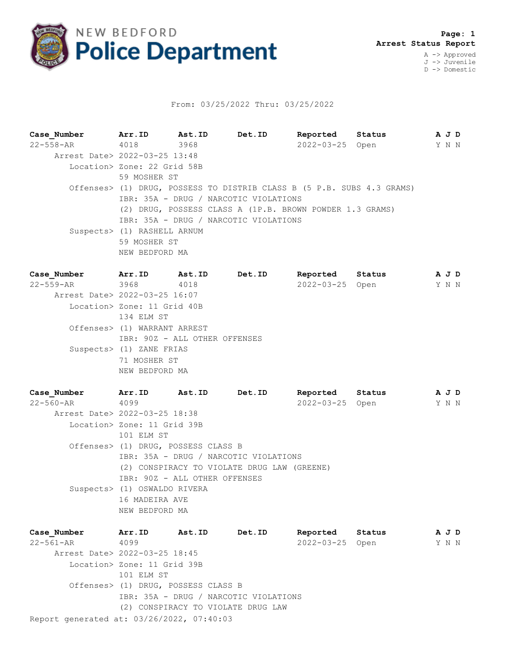

## From: 03/25/2022 Thru: 03/25/2022

| Case Number                   | Arr.ID                      | Ast.ID                                                   | Det.ID                                                                 | Reported         | Status |  |  | A J D |  |  |
|-------------------------------|-----------------------------|----------------------------------------------------------|------------------------------------------------------------------------|------------------|--------|--|--|-------|--|--|
| 22-558-AR                     | 4018                        | 3968                                                     |                                                                        | 2022-03-25 Open  |        |  |  | Y N N |  |  |
| Arrest Date> 2022-03-25 13:48 |                             |                                                          |                                                                        |                  |        |  |  |       |  |  |
|                               | Location> Zone: 22 Grid 58B |                                                          |                                                                        |                  |        |  |  |       |  |  |
|                               |                             | 59 MOSHER ST                                             |                                                                        |                  |        |  |  |       |  |  |
|                               |                             |                                                          | Offenses> (1) DRUG, POSSESS TO DISTRIB CLASS B (5 P.B. SUBS 4.3 GRAMS) |                  |        |  |  |       |  |  |
|                               |                             |                                                          | IBR: 35A - DRUG / NARCOTIC VIOLATIONS                                  |                  |        |  |  |       |  |  |
|                               |                             | (2) DRUG, POSSESS CLASS A (1P.B. BROWN POWDER 1.3 GRAMS) |                                                                        |                  |        |  |  |       |  |  |
|                               |                             | IBR: 35A - DRUG / NARCOTIC VIOLATIONS                    |                                                                        |                  |        |  |  |       |  |  |
|                               | Suspects> (1) RASHELL ARNUM |                                                          |                                                                        |                  |        |  |  |       |  |  |
|                               | 59 MOSHER ST                |                                                          |                                                                        |                  |        |  |  |       |  |  |
|                               | NEW BEDFORD MA              |                                                          |                                                                        |                  |        |  |  |       |  |  |
| Case Number                   | Arr.ID                      | Ast.ID                                                   | Det.ID                                                                 | Reported Status  |        |  |  | A J D |  |  |
|                               |                             |                                                          |                                                                        |                  |        |  |  |       |  |  |
| $22 - 559 - AR$               | 3968                        | 4018                                                     |                                                                        | $2022 - 03 - 25$ | Open   |  |  | Y N N |  |  |

 Arrest Date> 2022-03-25 16:07 Location> Zone: 11 Grid 40B 134 ELM ST Offenses> (1) WARRANT ARREST IBR: 90Z - ALL OTHER OFFENSES Suspects> (1) ZANE FRIAS 71 MOSHER ST NEW BEDFORD MA

**Case\_Number Arr.ID Ast.ID Det.ID Reported Status A J D** 22-560-AR 4099 2022-03-25 Open Y N N Arrest Date> 2022-03-25 18:38 Location> Zone: 11 Grid 39B 101 ELM ST Offenses> (1) DRUG, POSSESS CLASS B IBR: 35A - DRUG / NARCOTIC VIOLATIONS (2) CONSPIRACY TO VIOLATE DRUG LAW (GREENE) IBR: 90Z - ALL OTHER OFFENSES Suspects> (1) OSWALDO RIVERA 16 MADEIRA AVE NEW BEDFORD MA

Report generated at: 03/26/2022, 07:40:03 **Case\_Number Arr.ID Ast.ID Det.ID Reported Status A J D** 22-561-AR 4099 2022-03-25 Open Y N N Arrest Date> 2022-03-25 18:45 Location> Zone: 11 Grid 39B 101 ELM ST Offenses> (1) DRUG, POSSESS CLASS B IBR: 35A - DRUG / NARCOTIC VIOLATIONS (2) CONSPIRACY TO VIOLATE DRUG LAW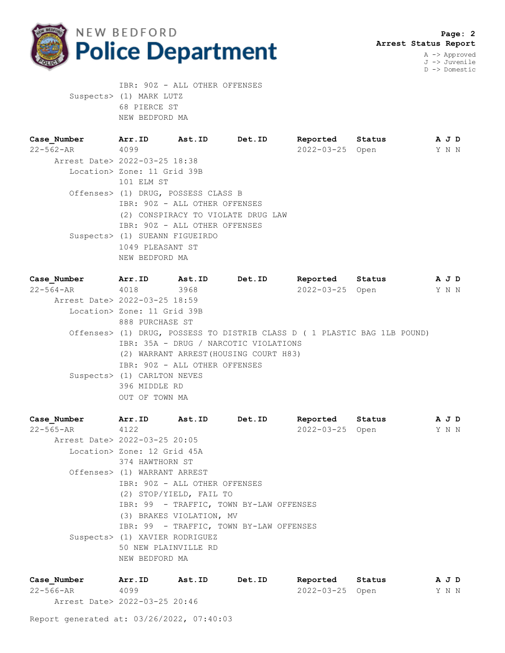

 IBR: 90Z - ALL OTHER OFFENSES Suspects> (1) MARK LUTZ 68 PIERCE ST NEW BEDFORD MA

| Case Number                   | Arr.ID                              | Ast.ID                        | Det.ID                             | Reported Status |  | A J D |  |
|-------------------------------|-------------------------------------|-------------------------------|------------------------------------|-----------------|--|-------|--|
| $22 - 562 - AR$               | 4099                                |                               |                                    | 2022-03-25 Open |  | Y N N |  |
| Arrest Date> 2022-03-25 18:38 |                                     |                               |                                    |                 |  |       |  |
|                               | Location> Zone: 11 Grid 39B         |                               |                                    |                 |  |       |  |
|                               | 101 ELM ST                          |                               |                                    |                 |  |       |  |
|                               | Offenses> (1) DRUG, POSSESS CLASS B |                               |                                    |                 |  |       |  |
|                               |                                     | IBR: 90Z - ALL OTHER OFFENSES |                                    |                 |  |       |  |
|                               |                                     |                               | (2) CONSPIRACY TO VIOLATE DRUG LAW |                 |  |       |  |
|                               |                                     | IBR: 90Z - ALL OTHER OFFENSES |                                    |                 |  |       |  |
|                               | Suspects> (1) SUEANN FIGUEIRDO      |                               |                                    |                 |  |       |  |
|                               | 1049 PLEASANT ST                    |                               |                                    |                 |  |       |  |
|                               | NEW BEDFORD MA                      |                               |                                    |                 |  |       |  |
|                               |                                     |                               |                                    |                 |  |       |  |

**Case\_Number Arr.ID Ast.ID Det.ID Reported Status A J D** 22-564-AR 4018 3968 2022-03-25 Open Y N N Arrest Date> 2022-03-25 18:59 Location> Zone: 11 Grid 39B 888 PURCHASE ST Offenses> (1) DRUG, POSSESS TO DISTRIB CLASS D ( 1 PLASTIC BAG 1LB POUND) IBR: 35A - DRUG / NARCOTIC VIOLATIONS (2) WARRANT ARREST(HOUSING COURT H83) IBR: 90Z - ALL OTHER OFFENSES Suspects> (1) CARLTON NEVES 396 MIDDLE RD OUT OF TOWN MA

**Case\_Number Arr.ID Ast.ID Det.ID Reported Status A J D** 22-565-AR 4122 2022-03-25 Open Y N N Arrest Date> 2022-03-25 20:05 Location> Zone: 12 Grid 45A 374 HAWTHORN ST Offenses> (1) WARRANT ARREST IBR: 90Z - ALL OTHER OFFENSES (2) STOP/YIELD, FAIL TO IBR: 99 - TRAFFIC, TOWN BY-LAW OFFENSES (3) BRAKES VIOLATION, MV IBR: 99 - TRAFFIC, TOWN BY-LAW OFFENSES Suspects> (1) XAVIER RODRIGUEZ 50 NEW PLAINVILLE RD NEW BEDFORD MA

| Case Number                   | Arr.ID | Ast.ID | Det.ID | Reported        | Status |  | AJD |
|-------------------------------|--------|--------|--------|-----------------|--------|--|-----|
| $22 - 566 - AR$               | 4099   |        |        | 2022-03-25 Open |        |  | YNN |
| Arrest Date> 2022-03-25 20:46 |        |        |        |                 |        |  |     |